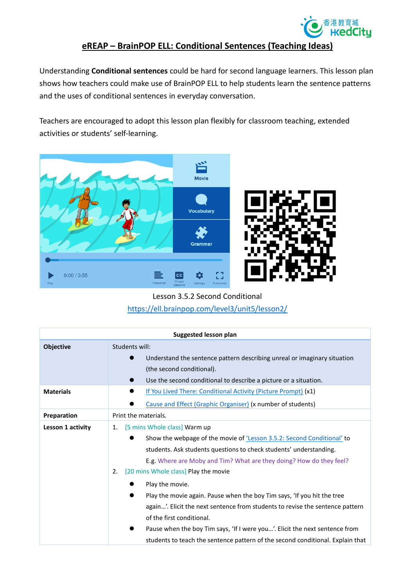

## **eREAP – BrainPOP ELL: Conditional Sentences (Teaching Ideas)**

Understanding **Conditional sentences** could be hard for second language learners. This lesson plan shows how teachers could make use of BrainPOP ELL to help students learn the sentence patterns and the uses of conditional sentences in everyday conversation.

Teachers are encouraged to adopt this lesson plan flexibly for classroom teaching, extended activities or students' self-learning.



## Lesson 3.5.2 Second Conditional <https://ell.brainpop.com/level3/unit5/lesson2/>

| Suggested lesson plan |                                                                                |  |
|-----------------------|--------------------------------------------------------------------------------|--|
| Objective             | Students will:                                                                 |  |
|                       | Understand the sentence pattern describing unreal or imaginary situation       |  |
|                       | (the second conditional).                                                      |  |
|                       | Use the second conditional to describe a picture or a situation.               |  |
| <b>Materials</b>      | If You Lived There: Conditional Activity (Picture Prompt) (x1)                 |  |
|                       | Cause and Effect (Graphic Organiser) (x number of students)                    |  |
| Preparation           | Print the materials.                                                           |  |
| Lesson 1 activity     | [5 mins Whole class] Warm up<br>1.                                             |  |
|                       | Show the webpage of the movie of 'Lesson 3.5.2: Second Conditional' to         |  |
|                       | students. Ask students questions to check students' understanding.             |  |
|                       | E.g. Where are Moby and Tim? What are they doing? How do they feel?            |  |
|                       | [20 mins Whole class] Play the movie<br>2.                                     |  |
|                       | Play the movie.                                                                |  |
|                       | Play the movie again. Pause when the boy Tim says, 'If you hit the tree        |  |
|                       | again'. Elicit the next sentence from students to revise the sentence pattern  |  |
|                       | of the first conditional.                                                      |  |
|                       | Pause when the boy Tim says, 'If I were you'. Elicit the next sentence from    |  |
|                       | students to teach the sentence pattern of the second conditional. Explain that |  |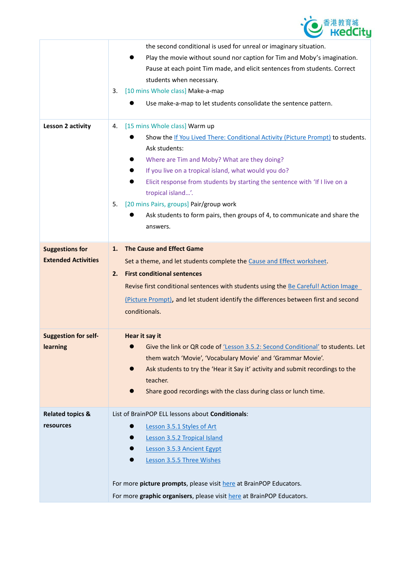

|                             | the second conditional is used for unreal or imaginary situation.                                |
|-----------------------------|--------------------------------------------------------------------------------------------------|
|                             | Play the movie without sound nor caption for Tim and Moby's imagination.                         |
|                             | Pause at each point Tim made, and elicit sentences from students. Correct                        |
|                             | students when necessary.                                                                         |
|                             | [10 mins Whole class] Make-a-map<br>3.                                                           |
|                             | Use make-a-map to let students consolidate the sentence pattern.                                 |
| Lesson 2 activity           | [15 mins Whole class] Warm up<br>4.                                                              |
|                             | Show the If You Lived There: Conditional Activity (Picture Prompt) to students.<br>Ask students: |
|                             | Where are Tim and Moby? What are they doing?                                                     |
|                             | If you live on a tropical island, what would you do?                                             |
|                             | Elicit response from students by starting the sentence with 'If I live on a                      |
|                             | tropical island'.                                                                                |
|                             | [20 mins Pairs, groups] Pair/group work<br>5.                                                    |
|                             | Ask students to form pairs, then groups of 4, to communicate and share the                       |
|                             | answers.                                                                                         |
|                             |                                                                                                  |
| <b>Suggestions for</b>      | <b>The Cause and Effect Game</b><br>1.                                                           |
| <b>Extended Activities</b>  | Set a theme, and let students complete the Cause and Effect worksheet.                           |
|                             | <b>First conditional sentences</b><br>2.                                                         |
|                             | Revise first conditional sentences with students using the Be Careful! Action Image              |
|                             | (Picture Prompt), and let student identify the differences between first and second              |
|                             | conditionals.                                                                                    |
|                             |                                                                                                  |
| <b>Suggestion for self-</b> | Hear it say it                                                                                   |
| learning                    | Give the link or QR code of 'Lesson 3.5.2: Second Conditional' to students. Let                  |
|                             | them watch 'Movie', 'Vocabulary Movie' and 'Grammar Movie'.                                      |
|                             | Ask students to try the 'Hear it Say it' activity and submit recordings to the                   |
|                             | teacher.                                                                                         |
|                             | Share good recordings with the class during class or lunch time.                                 |
| <b>Related topics &amp;</b> | List of BrainPOP ELL lessons about Conditionals:                                                 |
| resources                   | Lesson 3.5.1 Styles of Art                                                                       |
|                             | Lesson 3.5.2 Tropical Island                                                                     |
|                             | Lesson 3.5.3 Ancient Egypt                                                                       |
|                             | Lesson 3.5.5 Three Wishes                                                                        |
|                             |                                                                                                  |
|                             | For more picture prompts, please visit here at BrainPOP Educators.                               |
|                             | For more graphic organisers, please visit here at BrainPOP Educators.                            |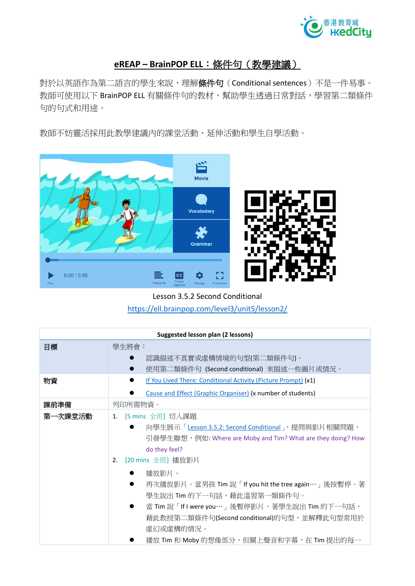

## **eREAP – BrainPOP ELL**:條件句(教學建議)

對於以英語作為第二語言的學生來說,理解**條件句**(Conditional sentences)不是一件易事。 教師可使用以下 BrainPOP ELL 有關條件句的教材,幫助學生透過日常對話,學習第二類條件 句的句式和用途。

教師不妨靈活採用此教學建議內的課堂活動、延伸活動和學生自學活動。



Lesson 3.5.2 Second Conditional <https://ell.brainpop.com/level3/unit5/lesson2/>

| <b>Suggested lesson plan (2 lessons)</b> |                                                                                                                                                                                                                                                                                |  |
|------------------------------------------|--------------------------------------------------------------------------------------------------------------------------------------------------------------------------------------------------------------------------------------------------------------------------------|--|
| 目標                                       | 學生將會:                                                                                                                                                                                                                                                                          |  |
|                                          | 認識描述不真實或虛構情境的句型(第二類條件句)。                                                                                                                                                                                                                                                       |  |
|                                          | 使用第二類條件句 (Second conditional) 來描述一些圖片或情況。                                                                                                                                                                                                                                      |  |
| 物資                                       | If You Lived There: Conditional Activity (Picture Prompt) (x1)                                                                                                                                                                                                                 |  |
|                                          | Cause and Effect (Graphic Organiser) (x number of students)                                                                                                                                                                                                                    |  |
| 課前準備                                     | 列印所需物資。                                                                                                                                                                                                                                                                        |  |
| 第一次課堂活動                                  | 1. [5 mins 全班] 切入課題<br>向學生展示「Lesson 3.5.2: Second Conditional」,提問與影片相關問題,<br>引發學生聯想,例如: Where are Moby and Tim? What are they doing? How<br>do they feel?                                                                                                                      |  |
|                                          | [20 mins 全班] 播放影片<br>2.<br>播放影片。<br>再次播放影片。當男孩 Tim 說「If you hit the tree again… 」後按暫停。著<br>學生說出 Tim 的下一句話,藉此溫習第一類條件句。<br>當 Tim 說「If I were you…」後暫停影片。著學生說出 Tim 的下一句話,<br>藉此教授第二類條件句(Second conditional)的句型,並解釋此句型常用於<br>虛幻或虛構的情況。<br>播放 Tim 和 Moby 的想像部分,但關上聲音和字幕,在 Tim 提出的每一 |  |